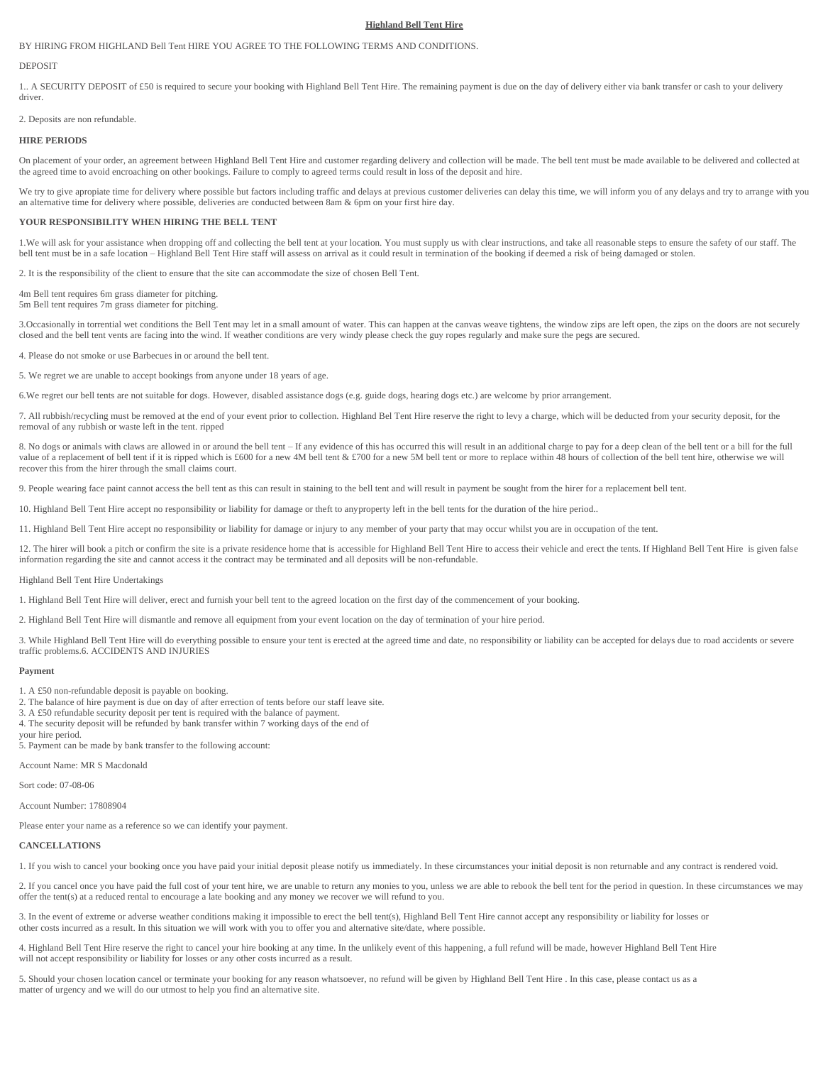# **Highland Bell Tent Hire**

BY HIRING FROM HIGHLAND Bell Tent HIRE YOU AGREE TO THE FOLLOWING TERMS AND CONDITIONS.

## **DEPOSIT**

1.. A SECURITY DEPOSIT of £50 is required to secure your booking with Highland Bell Tent Hire. The remaining payment is due on the day of delivery either via bank transfer or cash to your delivery driver.

2. Deposits are non refundable.

## **HIRE PERIODS**

On placement of your order, an agreement between Highland Bell Tent Hire and customer regarding delivery and collection will be made. The bell tent must be made available to be delivered and collected at the agreed time to avoid encroaching on other bookings. Failure to comply to agreed terms could result in loss of the deposit and hire.

We try to give apropiate time for delivery where possible but factors including traffic and delays at previous customer deliveries can delay this time, we will inform you of any delays and try to arrange with you an alternative time for delivery where possible, deliveries are conducted between 8am & 6pm on your first hire day.

#### **YOUR RESPONSIBILITY WHEN HIRING THE BELL TENT**

1.We will ask for your assistance when dropping off and collecting the bell tent at your location. You must supply us with clear instructions, and take all reasonable steps to ensure the safety of our staff. The bell tent must be in a safe location – Highland Bell Tent Hire staff will assess on arrival as it could result in termination of the booking if deemed a risk of being damaged or stolen.

2. It is the responsibility of the client to ensure that the site can accommodate the size of chosen Bell Tent.

4m Bell tent requires 6m grass diameter for pitching. 5m Bell tent requires 7m grass diameter for pitching.

3.Occasionally in torrential wet conditions the Bell Tent may let in a small amount of water. This can happen at the canvas weave tightens, the window zips are left open, the zips on the doors are not securely closed and the bell tent vents are facing into the wind. If weather conditions are very windy please check the guy ropes regularly and make sure the pegs are secured.

4. Please do not smoke or use Barbecues in or around the bell tent.

5. We regret we are unable to accept bookings from anyone under 18 years of age.

6.We regret our bell tents are not suitable for dogs. However, disabled assistance dogs (e.g. guide dogs, hearing dogs etc.) are welcome by prior arrangement.

7. All rubbish/recycling must be removed at the end of your event prior to collection. Highland Bel Tent Hire reserve the right to levy a charge, which will be deducted from your security deposit, for the removal of any rubbish or waste left in the tent. ripped

8. No dogs or animals with claws are allowed in or around the bell tent – If any evidence of this has occurred this will result in an additional charge to pay for a deep clean of the bell tent or a bill for the full value of a replacement of bell tent if it is ripped which is £600 for a new 4M bell tent & £700 for a new 5M bell tent or more to replace within 48 hours of collection of the bell tent hire, otherwise we will recover this from the hirer through the small claims court.

9. People wearing face paint cannot access the bell tent as this can result in staining to the bell tent and will result in payment be sought from the hirer for a replacement bell tent.

10. Highland Bell Tent Hire accept no responsibility or liability for damage or theft to anyproperty left in the bell tents for the duration of the hire period..

11. Highland Bell Tent Hire accept no responsibility or liability for damage or injury to any member of your party that may occur whilst you are in occupation of the tent.

12. The hirer will book a pitch or confirm the site is a private residence home that is accessible for Highland Bell Tent Hire to access their vehicle and erect the tents. If Highland Bell Tent Hire is given false information regarding the site and cannot access it the contract may be terminated and all deposits will be non-refundable.

Highland Bell Tent Hire Undertakings

1. Highland Bell Tent Hire will deliver, erect and furnish your bell tent to the agreed location on the first day of the commencement of your booking.

2. Highland Bell Tent Hire will dismantle and remove all equipment from your event location on the day of termination of your hire period.

3. While Highland Bell Tent Hire will do everything possible to ensure your tent is erected at the agreed time and date, no responsibility or liability can be accepted for delays due to road accidents or severe traffic problems.6. ACCIDENTS AND INJURIES

## **Payment**

- 1. A £50 non-refundable deposit is payable on booking.
- 2. The balance of hire payment is due on day of after errection of tents before our staff leave site.
- 3. A £50 refundable security deposit per tent is required with the balance of payment.
- 4. The security deposit will be refunded by bank transfer within 7 working days of the end of your hire period.

5. Payment can be made by bank transfer to the following account:

Account Name: MR S Macdonald

Sort code: 07-08-06

Account Number: 17808904

Please enter your name as a reference so we can identify your payment.

## **CANCELLATIONS**

1. If you wish to cancel your booking once you have paid your initial deposit please notify us immediately. In these circumstances your initial deposit is non returnable and any contract is rendered void.

2. If you cancel once you have paid the full cost of your tent hire, we are unable to return any monies to you, unless we are able to rebook the bell tent for the period in question. In these circumstances we may offer the tent(s) at a reduced rental to encourage a late booking and any money we recover we will refund to you.

3. In the event of extreme or adverse weather conditions making it impossible to erect the bell tent(s), Highland Bell Tent Hire cannot accept any responsibility or liability for losses or other costs incurred as a result. In this situation we will work with you to offer you and alternative site/date, where possible.

4. Highland Bell Tent Hire reserve the right to cancel your hire booking at any time. In the unlikely event of this happening, a full refund will be made, however Highland Bell Tent Hire will not accept responsibility or liability for losses or any other costs incurred as a result.

5. Should your chosen location cancel or terminate your booking for any reason whatsoever, no refund will be given by Highland Bell Tent Hire . In this case, please contact us as a matter of urgency and we will do our utmost to help you find an alternative site.